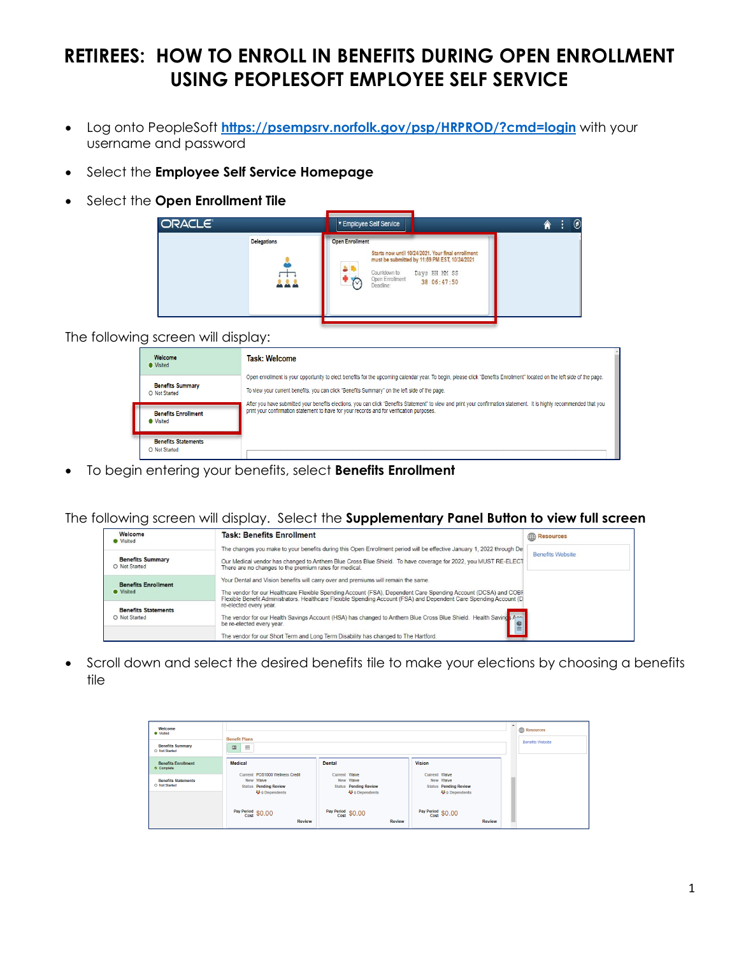## **RETIREES: HOW TO ENROLL IN BENEFITS DURING OPEN ENROLLMENT USING PEOPLESOFT EMPLOYEE SELF SERVICE**

- Log onto PeopleSoft **<https://psempsrv.norfolk.gov/psp/HRPROD/?cmd=login>** with your username and password
- Select the **Employee Self Service Homepage**
- Select the **Open Enrollment Tile**

| ORACLE <sup>®</sup> | Employee Self Service                                                                                                                                                                                                       | $^\text{\textregistered}$<br>Ы |
|---------------------|-----------------------------------------------------------------------------------------------------------------------------------------------------------------------------------------------------------------------------|--------------------------------|
| <b>Delegations</b>  | <b>Open Enrollment</b><br>Starts now until 10/24/2021. Your final enrollment<br>must be submitted by 11:59 PM EST, 10/24/2021<br>Countdown to<br>Days HH MM SS<br>Open Enrollment<br>38 06:47:50<br>$\sqrt{V}$<br>Deadline: |                                |

The following screen will display:

| Welcome<br><b>O</b> Visited                  | Task: Welcome                                                                                                                                                                                                                                                      |  |
|----------------------------------------------|--------------------------------------------------------------------------------------------------------------------------------------------------------------------------------------------------------------------------------------------------------------------|--|
|                                              | Open enrollment is your opportunity to elect benefits for the upcoming calendar year. To begin, please click "Benefits Enrollment" located on the left side of the page.                                                                                           |  |
| <b>Benefits Summary</b><br>O Not Started     | To view your current benefits, you can click "Benefits Summary" on the left side of the page.                                                                                                                                                                      |  |
| <b>Benefits Enrollment</b><br><b>Wisited</b> | After you have submitted your benefits elections, you can click "Benefits Statement" to view and print your confirmation statement. It is highly recommended that you<br>print your confirmation statement to have for your records and for verification purposes. |  |
| <b>Benefits Statements</b><br>O Not Started  |                                                                                                                                                                                                                                                                    |  |

• To begin entering your benefits, select **Benefits Enrollment**

The following screen will display. Select the **Supplementary Panel Button to view full screen** 

| Welcome<br><b>Wisited</b>                      | <b>Task: Benefits Enrollment</b>                                                                                                                                                                                                                                                                                            | Resources               |
|------------------------------------------------|-----------------------------------------------------------------------------------------------------------------------------------------------------------------------------------------------------------------------------------------------------------------------------------------------------------------------------|-------------------------|
| <b>Benefits Summary</b><br>O Not Started       | The changes you make to your benefits during this Open Enrollment period will be effective January 1, 2022 through De<br>Our Medical vendor has changed to Anthem Blue Cross Blue Shield. To have coverage for 2022, you MUST RE-ELECT<br>There are no changes to the premium rates for medical.                            | <b>Benefits Website</b> |
| <b>Benefits Enrollment</b><br><b>O</b> Visited | Your Dental and Vision benefits will carry over and premiums will remain the same.<br>The vendor for our Healthcare Flexible Spending Account (FSA), Dependent Care Spending Account (DCSA) and COBF<br>Flexible Benefit Administrators. Healthcare Flexible Spending Account (FSA) and Dependent Care Spending Account (D) |                         |
| <b>Benefits Statements</b><br>O Not Started    | re-elected every year.<br>The vendor for our Health Savings Account (HSA) has changed to Anthem Blue Cross Blue Shield. Health Saving Apple<br>be re-elected every year.<br>The vendor for our Short Term and Long Term Disability has changed to The Hartford.                                                             |                         |

• Scroll down and select the desired benefits tile to make your elections by choosing a benefits tile

| Welcome<br><b>O</b> Visited<br><b>Benefits Summary</b><br>O Not Started               | <b>Benefit Plans</b><br>$\qquad \qquad \Box$<br>$\blacksquare$                                                                |                                                                                                                   |                                                                                               |  |  |  |  |
|---------------------------------------------------------------------------------------|-------------------------------------------------------------------------------------------------------------------------------|-------------------------------------------------------------------------------------------------------------------|-----------------------------------------------------------------------------------------------|--|--|--|--|
| <b>Benefits Enrollment</b><br>Complete<br><b>Benefits Statements</b><br>O Not Started | Medical<br>Current POS1000 Wellness Credit<br>New Waive<br><b>Status Pending Review</b><br><b>M</b> <sup>2</sup> 0 Dependents | <b>Dental</b><br>Current Waive<br>New Waive<br><b>Status</b> Pending Review<br><b>M</b> <sup>2</sup> 0 Dependents | Vision<br>Current Waive<br>New Waive<br><b>Status Pending Review</b><br><b>M</b> 0 Dependents |  |  |  |  |
|                                                                                       | Pay Period \$0.00<br>Review                                                                                                   | Pay Period \$0.00<br><b>Review</b>                                                                                | Pay Period \$0.00<br><b>Review</b>                                                            |  |  |  |  |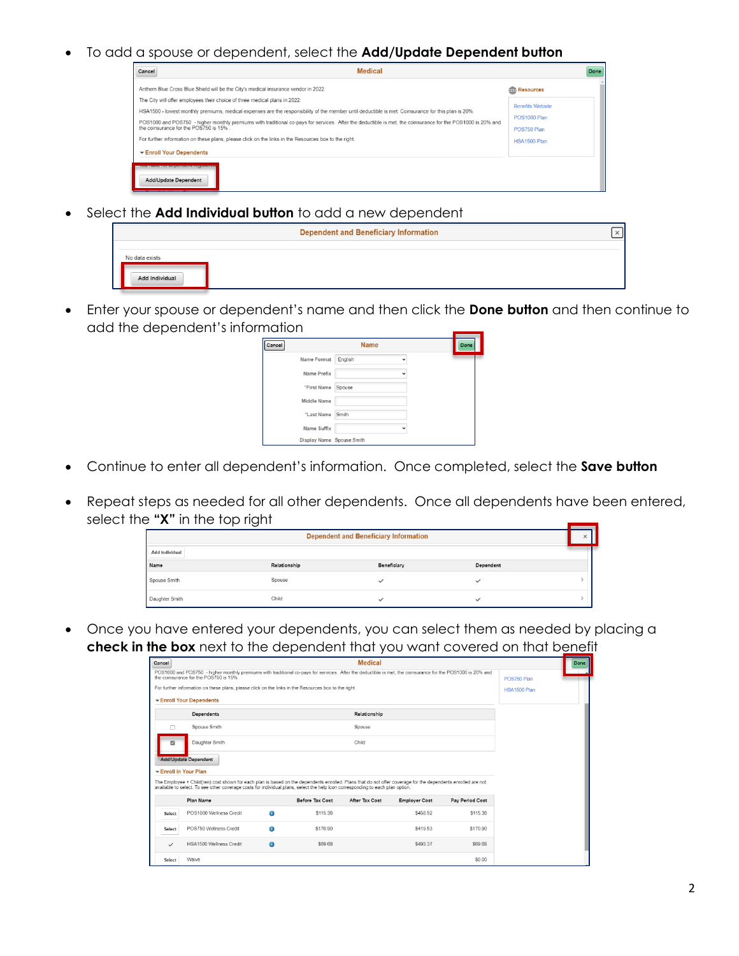• To add a spouse or dependent, select the **Add/Update Dependent button**

|                                                                                                                                                                                                      | Done                               |
|------------------------------------------------------------------------------------------------------------------------------------------------------------------------------------------------------|------------------------------------|
| Anthem Blue Cross Blue Shield will be the City's medical insurance vendor in 2022.                                                                                                                   | <b>Resources</b>                   |
| The City will offer employees their choice of three medical plans in 2022:                                                                                                                           | <b>Benefits Website</b>            |
| HSA1500 - lowest monthly premiums, medical expenses are the responsibility of the member until deductible is met. Coinsurance for this plan is 20%.                                                  |                                    |
| POS1000 and POS750 - higher monthly premiums with traditional co-pays for services. After the deductible is met, the coinsurance for the POS1000 is 20% and<br>the coinsurance for the POS750 is 15% | <b>POS1000 Plan</b><br>POS750 Plan |
| For further information on these plans, please click on the links in the Resources box to the right.                                                                                                 | <b>HSA1500 Plan</b>                |
| Enroll Your Dependents                                                                                                                                                                               |                                    |

• Select the **Add Individual button** to add a new dependent

|                                  | <b>Dependent and Beneficiary Information</b> |  |
|----------------------------------|----------------------------------------------|--|
| No data exists<br>Add Individual |                                              |  |

• Enter your spouse or dependent's name and then click the **Done button** and then continue to add the dependent's information

| .      |                           |             |             | _    |
|--------|---------------------------|-------------|-------------|------|
| Cancel |                           | <b>Name</b> |             | Done |
|        | Name Format               | English     |             |      |
|        | Name Prefix               |             | $\check{ }$ |      |
|        | "First Name               | Spouse      |             |      |
|        | Middle Name               |             |             |      |
|        | "Last Name                | Smith       |             |      |
|        | Name Suffix               |             |             |      |
|        | Display Name Spouse Smith |             |             |      |

- Continue to enter all dependent's information. Once completed, select the **Save button**
- Repeat steps as needed for all other dependents. Once all dependents have been entered, select the **"X"** in the top right

| <b>Dependent and Beneficiary Information</b> |              |             |           |  |  |
|----------------------------------------------|--------------|-------------|-----------|--|--|
| Add Individual                               |              |             |           |  |  |
| Name                                         | Relationship | Beneficiary | Dependent |  |  |
| Spouse Smith                                 | Spouse       |             |           |  |  |
| Daughter Smith                               | Child        |             | ر،        |  |  |

• Once you have entered your dependents, you can select them as needed by placing a **check in the box** next to the dependent that you want covered on that benefit

| Cancel              |                                                                                                                                                                                                                                                                                                |             |                 | <b>Medical</b> |                      |                 |  | Done |
|---------------------|------------------------------------------------------------------------------------------------------------------------------------------------------------------------------------------------------------------------------------------------------------------------------------------------|-------------|-----------------|----------------|----------------------|-----------------|--|------|
|                     | POS1000 and POS750 - higher monthly premiums with traditional co-pays for services. After the deductible is met, the coinsurance for the POS1000 is 20% and<br>the coinsurance for the POS750 is 15%.                                                                                          | POS750 Plan |                 |                |                      |                 |  |      |
|                     | For further information on these plans, please click on the links in the Resources box to the right.<br>HSA1500 Plan                                                                                                                                                                           |             |                 |                |                      |                 |  |      |
|                     | Enroll Your Dependents                                                                                                                                                                                                                                                                         |             |                 |                |                      |                 |  |      |
|                     | Dependents                                                                                                                                                                                                                                                                                     |             |                 | Relationship   |                      |                 |  |      |
| n                   | Spouse Smith                                                                                                                                                                                                                                                                                   |             |                 | Spouse         |                      |                 |  |      |
| $\overline{a}$      | Daughter Smith                                                                                                                                                                                                                                                                                 |             |                 | Child          |                      |                 |  |      |
| Enroll in Your Plan | Add/Update Dependent                                                                                                                                                                                                                                                                           |             |                 |                |                      |                 |  |      |
|                     | The Employee + Child(ren) cost shown for each plan is based on the dependents enrolled. Plans that do not offer coverage for the dependents enrolled are not<br>available to select. To see other coverage costs for individual plans, select the help icon corresponding to each plan option. |             |                 |                |                      |                 |  |      |
|                     | Plan Name                                                                                                                                                                                                                                                                                      |             | Before Tax Cost | After Tax Cost | <b>Employer Cost</b> | Pay Period Cost |  |      |
| Select              | POS1000 Wellness Credit                                                                                                                                                                                                                                                                        | A           | \$115.36        |                | \$458.92             | \$115.36        |  |      |
| Select              | POS750 Wellness Credit                                                                                                                                                                                                                                                                         | A           | \$170.90        |                | \$419.53             | \$170.90        |  |      |
| $\checkmark$        | HSA1500 Wellness Credit                                                                                                                                                                                                                                                                        | $\bullet$   | \$69.68         |                | \$493.37             | \$69.68         |  |      |
| Select              | Waive                                                                                                                                                                                                                                                                                          |             |                 |                |                      | \$0.00          |  |      |